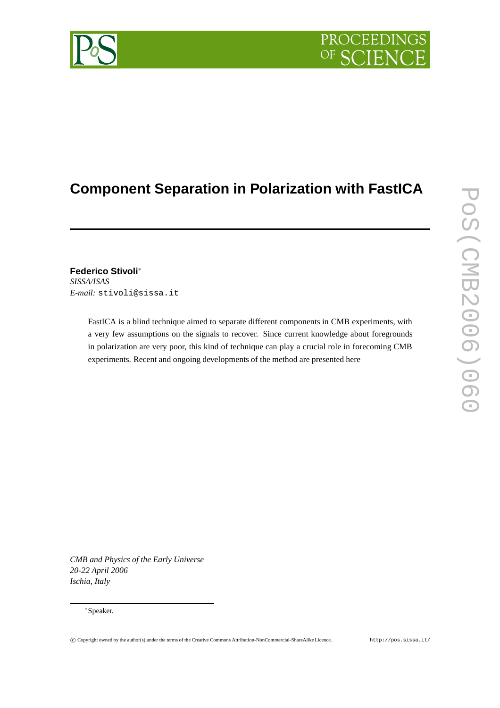# PROCEEDIN

# **Component Separation in Polarization with FastICA**

**Federico Stivoli**<sup>∗</sup> *SISSA/ISAS E-mail:* stivoli@sissa.it

> FastICA is a blind technique aimed to separate different components in CMB experiments, with a very few assumptions on the signals to recover. Since current knowledge about foregrounds in polarization are very poor, this kind of technique can play a crucial role in forecoming CMB experiments. Recent and ongoing developments of the method are presented here

*CMB and Physics of the Early Universe 20-22 April 2006 Ischia, Italy*

# <sup>∗</sup>Speaker.

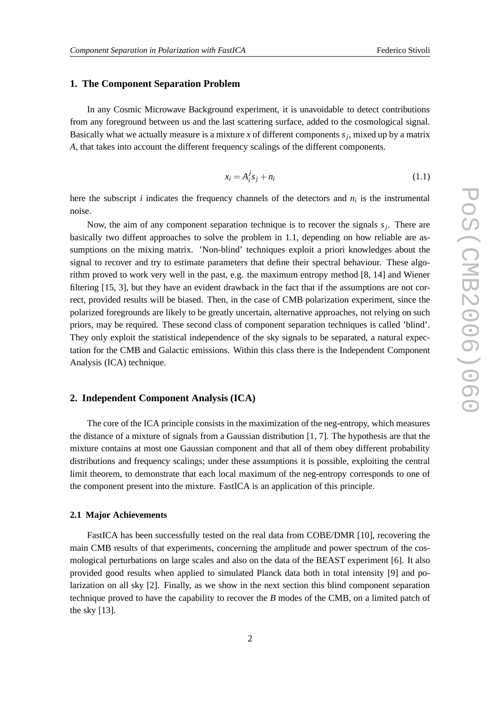# **1. The Component Separation Problem**

In any Cosmic Microwave Background experiment, it is unavoidable to detect contributions from any foreground between us and the last scattering surface, added to the cosmological signal. Basically what we actually measure is a mixture *x* of different components *s<sup>j</sup>* , mixed up by a matrix *A*, that takes into account the different frequency scalings of the different components.

$$
x_i = A_i^j s_j + n_i \tag{1.1}
$$

here the subscript *i* indicates the frequency channels of the detectors and *n<sup>i</sup>* is the instrumental noise.

Now, the aim of any component separation technique is to recover the signals *s<sup>j</sup>* . There are basically two diffent approaches to solve the problem in 1.1, depending on how reliable are assumptions on the mixing matrix. 'Non-blind' techniques exploit a priori knowledges about the signal to recover and try to estimate parameters that define their spectral behaviour. These algorithm proved to work very well in the past, e.g. the maximum entropy method [8, 14] and Wiener filtering [15, 3], but they have an evident drawback in the fact that if the assumptions are not correct, provided results will be biased. Then, in the case of CMB polarization experiment, since the polarized foregrounds are likely to be greatly uncertain, alternative approaches, not relying on such priors, may be required. These second class of component separation techniques is called 'blind'. They only exploit the statistical independence of the sky signals to be separated, a natural expectation for the CMB and Galactic emissions. Within this class there is the Independent Component Analysis (ICA) technique.

# **2. Independent Component Analysis (ICA)**

The core of the ICA principle consists in the maximization of the neg-entropy, which measures the distance of a mixture of signals from a Gaussian distribution  $[1, 7]$ . The hypothesis are that the mixture contains at most one Gaussian component and that all of them obey different probability distributions and frequency scalings; under these assumptions it is possible, exploiting the central limit theorem, to demonstrate that each local maximum of the neg-entropy corresponds to one of the component present into the mixture. FastICA is an application of this principle.

#### **2.1 Major Achievements**

FastICA has been successfully tested on the real data from COBE/DMR [10], recovering the main CMB results of that experiments, concerning the amplitude and power spectrum of the cosmological perturbations on large scales and also on the data of the BEAST experiment [6]. It also provided good results when applied to simulated Planck data both in total intensity [9] and polarization on all sky [2]. Finally, as we show in the next section this blind component separation technique proved to have the capability to recover the *B* modes of the CMB, on a limited patch of the sky [13].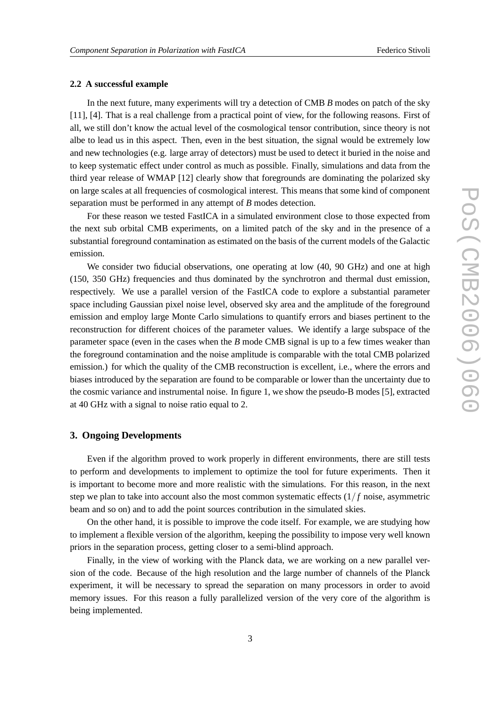#### **2.2 A successful example**

In the next future, many experiments will try a detection of CMB *B* modes on patch of the sky [11], [4]. That is a real challenge from a practical point of view, for the following reasons. First of all, we still don't know the actual level of the cosmological tensor contribution, since theory is not albe to lead us in this aspect. Then, even in the best situation, the signal would be extremely low and new technologies (e.g. large array of detectors) must be used to detect it buried in the noise and to keep systematic effect under control as much as possible. Finally, simulations and data from the third year release of WMAP [12] clearly show that foregrounds are dominating the polarized sky on large scales at all frequencies of cosmological interest. This means that some kind of component separation must be performed in any attempt of *B* modes detection.

For these reason we tested FastICA in a simulated environment close to those expected from the next sub orbital CMB experiments, on a limited patch of the sky and in the presence of a substantial foreground contamination as estimated on the basis of the current models of the Galactic emission.

We consider two fiducial observations, one operating at low  $(40, 90 \text{ GHz})$  and one at high (150, 350 GHz) frequencies and thus dominated by the synchrotron and thermal dust emission, respectively. We use a parallel version of the FastICA code to explore a substantial parameter space including Gaussian pixel noise level, observed sky area and the amplitude of the foreground emission and employ large Monte Carlo simulations to quantify errors and biases pertinent to the reconstruction for different choices of the parameter values. We identify a large subspace of the parameter space (even in the cases when the *B* mode CMB signal is up to a few times weaker than the foreground contamination and the noise amplitude is comparable with the total CMB polarized emission.) for which the quality of the CMB reconstruction is excellent, i.e., where the errors and biases introduced by the separation are found to be comparable or lower than the uncertainty due to the cosmic variance and instrumental noise. In figure 1, we show the pseudo-B modes [5], extracted at 40 GHz with a signal to noise ratio equal to 2.

#### **3. Ongoing Developments**

Even if the algorithm proved to work properly in different environments, there are still tests to perform and developments to implement to optimize the tool for future experiments. Then it is important to become more and more realistic with the simulations. For this reason, in the next step we plan to take into account also the most common systematic effects  $(1/f$  noise, asymmetric beam and so on) and to add the point sources contribution in the simulated skies.

On the other hand, it is possible to improve the code itself. For example, we are studying how to implement a flexible version of the algorithm, keeping the possibility to impose very well known priors in the separation process, getting closer to a semi-blind approach.

Finally, in the view of working with the Planck data, we are working on a new parallel version of the code. Because of the high resolution and the large number of channels of the Planck experiment, it will be necessary to spread the separation on many processors in order to avoid memory issues. For this reason a fully parallelized version of the very core of the algorithm is being implemented.